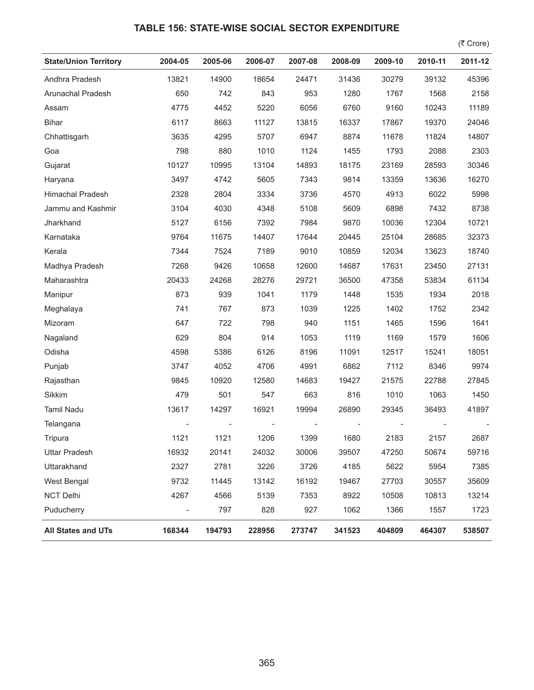## **TABLE 156: STATE-WISE SOCIAL SECTOR EXPENDITURE**

 $($ ₹ Crore)

| <b>State/Union Territory</b> | 2004-05                  | 2005-06 | 2006-07 | 2007-08 | 2008-09 | 2009-10 | 2010-11 | 2011-12 |
|------------------------------|--------------------------|---------|---------|---------|---------|---------|---------|---------|
| Andhra Pradesh               | 13821                    | 14900   | 18654   | 24471   | 31436   | 30279   | 39132   | 45396   |
| Arunachal Pradesh            | 650                      | 742     | 843     | 953     | 1280    | 1767    | 1568    | 2158    |
| Assam                        | 4775                     | 4452    | 5220    | 6056    | 6760    | 9160    | 10243   | 11189   |
| <b>Bihar</b>                 | 6117                     | 8663    | 11127   | 13815   | 16337   | 17867   | 19370   | 24046   |
| Chhattisgarh                 | 3635                     | 4295    | 5707    | 6947    | 8874    | 11678   | 11824   | 14807   |
| Goa                          | 798                      | 880     | 1010    | 1124    | 1455    | 1793    | 2088    | 2303    |
| Gujarat                      | 10127                    | 10995   | 13104   | 14893   | 18175   | 23169   | 28593   | 30346   |
| Haryana                      | 3497                     | 4742    | 5605    | 7343    | 9814    | 13359   | 13636   | 16270   |
| Himachal Pradesh             | 2328                     | 2804    | 3334    | 3736    | 4570    | 4913    | 6022    | 5998    |
| Jammu and Kashmir            | 3104                     | 4030    | 4348    | 5108    | 5609    | 6898    | 7432    | 8738    |
| Jharkhand                    | 5127                     | 6156    | 7392    | 7984    | 9870    | 10036   | 12304   | 10721   |
| Karnataka                    | 9764                     | 11675   | 14407   | 17644   | 20445   | 25104   | 28685   | 32373   |
| Kerala                       | 7344                     | 7524    | 7189    | 9010    | 10859   | 12034   | 13623   | 18740   |
| Madhya Pradesh               | 7268                     | 9426    | 10658   | 12600   | 14687   | 17631   | 23450   | 27131   |
| Maharashtra                  | 20433                    | 24268   | 28276   | 29721   | 36500   | 47358   | 53834   | 61134   |
| Manipur                      | 873                      | 939     | 1041    | 1179    | 1448    | 1535    | 1934    | 2018    |
| Meghalaya                    | 741                      | 767     | 873     | 1039    | 1225    | 1402    | 1752    | 2342    |
| Mizoram                      | 647                      | 722     | 798     | 940     | 1151    | 1465    | 1596    | 1641    |
| Nagaland                     | 629                      | 804     | 914     | 1053    | 1119    | 1169    | 1579    | 1606    |
| Odisha                       | 4598                     | 5386    | 6126    | 8196    | 11091   | 12517   | 15241   | 18051   |
| Punjab                       | 3747                     | 4052    | 4706    | 4991    | 6862    | 7112    | 8346    | 9974    |
| Rajasthan                    | 9845                     | 10920   | 12580   | 14683   | 19427   | 21575   | 22788   | 27845   |
| Sikkim                       | 479                      | 501     | 547     | 663     | 816     | 1010    | 1063    | 1450    |
| Tamil Nadu                   | 13617                    | 14297   | 16921   | 19994   | 26890   | 29345   | 36493   | 41897   |
| Telangana                    |                          |         |         |         |         |         |         |         |
| Tripura                      | 1121                     | 1121    | 1206    | 1399    | 1680    | 2183    | 2157    | 2687    |
| <b>Uttar Pradesh</b>         | 16932                    | 20141   | 24032   | 30006   | 39507   | 47250   | 50674   | 59716   |
| Uttarakhand                  | 2327                     | 2781    | 3226    | 3726    | 4185    | 5622    | 5954    | 7385    |
| West Bengal                  | 9732                     | 11445   | 13142   | 16192   | 19467   | 27703   | 30557   | 35609   |
| NCT Delhi                    | 4267                     | 4566    | 5139    | 7353    | 8922    | 10508   | 10813   | 13214   |
| Puducherry                   | $\overline{\phantom{a}}$ | 797     | 828     | 927     | 1062    | 1366    | 1557    | 1723    |
| All States and UTs           | 168344                   | 194793  | 228956  | 273747  | 341523  | 404809  | 464307  | 538507  |